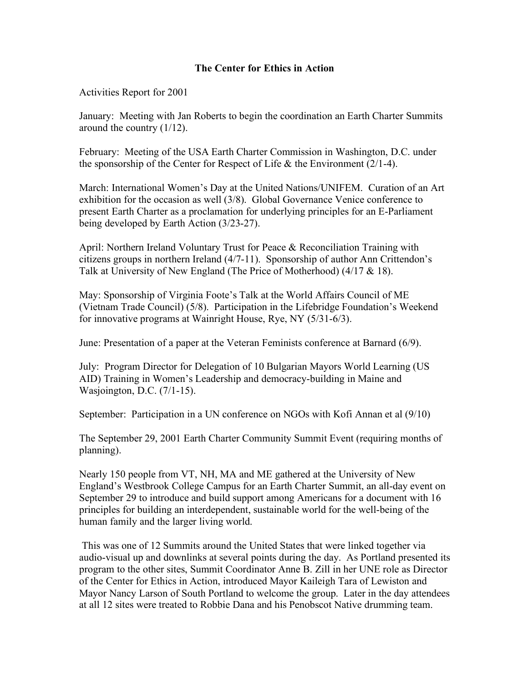## **The Center for Ethics in Action**

Activities Report for 2001

January: Meeting with Jan Roberts to begin the coordination an Earth Charter Summits around the country (1/12).

February: Meeting of the USA Earth Charter Commission in Washington, D.C. under the sponsorship of the Center for Respect of Life  $&$  the Environment (2/1-4).

March: International Women's Day at the United Nations/UNIFEM. Curation of an Art exhibition for the occasion as well (3/8). Global Governance Venice conference to present Earth Charter as a proclamation for underlying principles for an E-Parliament being developed by Earth Action (3/23-27).

April: Northern Ireland Voluntary Trust for Peace & Reconciliation Training with citizens groups in northern Ireland (4/7-11). Sponsorship of author Ann Crittendon's Talk at University of New England (The Price of Motherhood) (4/17 & 18).

May: Sponsorship of Virginia Foote's Talk at the World Affairs Council of ME (Vietnam Trade Council) (5/8). Participation in the Lifebridge Foundation's Weekend for innovative programs at Wainright House, Rye, NY (5/31-6/3).

June: Presentation of a paper at the Veteran Feminists conference at Barnard (6/9).

July: Program Director for Delegation of 10 Bulgarian Mayors World Learning (US AID) Training in Women's Leadership and democracy-building in Maine and Wasjoington, D.C. (7/1-15).

September: Participation in a UN conference on NGOs with Kofi Annan et al (9/10)

The September 29, 2001 Earth Charter Community Summit Event (requiring months of planning).

Nearly 150 people from VT, NH, MA and ME gathered at the University of New England's Westbrook College Campus for an Earth Charter Summit, an all-day event on September 29 to introduce and build support among Americans for a document with 16 principles for building an interdependent, sustainable world for the well-being of the human family and the larger living world.

This was one of 12 Summits around the United States that were linked together via audio-visual up and downlinks at several points during the day. As Portland presented its program to the other sites, Summit Coordinator Anne B. Zill in her UNE role as Director of the Center for Ethics in Action, introduced Mayor Kaileigh Tara of Lewiston and Mayor Nancy Larson of South Portland to welcome the group. Later in the day attendees at all 12 sites were treated to Robbie Dana and his Penobscot Native drumming team.